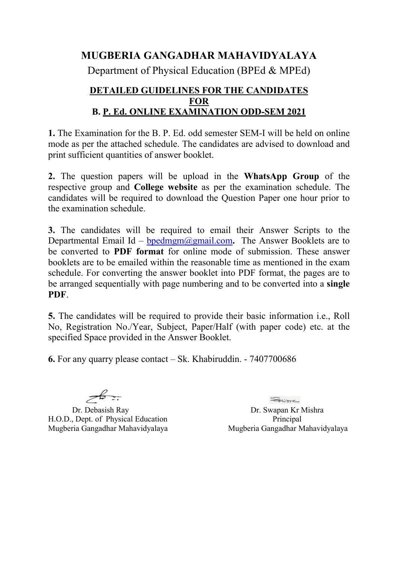## **MUGBERIA GANGADHAR MAHAVIDYALAYA**

Department of Physical Education (BPEd & MPEd)

## **DETAILED GUIDELINES FOR THE CANDIDATES FOR B. P. Ed. ONLINE EXAMINATION ODD-SEM 2021**

**1.** The Examination for the B. P. Ed. odd semester SEM-I will be held on online mode as per the attached schedule. The candidates are advised to download and print sufficient quantities of answer booklet.

**2.** The question papers will be upload in the **WhatsApp Group** of the respective group and **College website** as per the examination schedule. The candidates will be required to download the Question Paper one hour prior to the examination schedule.

**3.** The candidates will be required to email their Answer Scripts to the Departmental Email Id – **[bpedmgm@gmail.com](mailto:mgmmathdept@gmail.com)**. The Answer Booklets are to be converted to **PDF format** for online mode of submission. These answer booklets are to be emailed within the reasonable time as mentioned in the exam schedule. For converting the answer booklet into PDF format, the pages are to be arranged sequentially with page numbering and to be converted into a **single PDF**.

**5.** The candidates will be required to provide their basic information i.e., Roll No, Registration No./Year, Subject, Paper/Half (with paper code) etc. at the specified Space provided in the Answer Booklet.

**6.** For any quarry please contact– Sk. Khabiruddin. - 7407700686

 $\frac{2}{\sqrt{2}}$ 

Dr. Debasish Ray Dr. Swapan Kr Mishra H.O.D., Dept. of Physical Education Principal Mugberia Gangadhar Mahavidyalaya Mugberia Gangadhar Mahavidyalaya

Smirocc